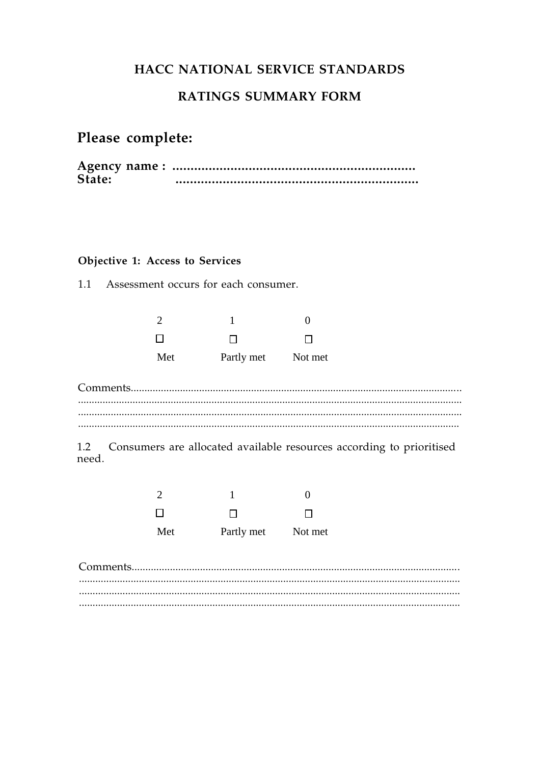# HACC NATIONAL SERVICE STANDARDS

## **RATINGS SUMMARY FORM**

# Please complete:

| State: |  |
|--------|--|

## Objective 1: Access to Services

 $1.1$ Assessment occurs for each consumer.

| $\mathcal{D}$ |            |         |
|---------------|------------|---------|
| $\Box$        | П          | П       |
| Met           | Partly met | Not met |

1.2 Consumers are allocated available resources according to prioritised need.

| $\mathcal{D}$ |            |              |
|---------------|------------|--------------|
| $\perp$       | П          | $\mathbf{I}$ |
| Met           | Partly met | Not met      |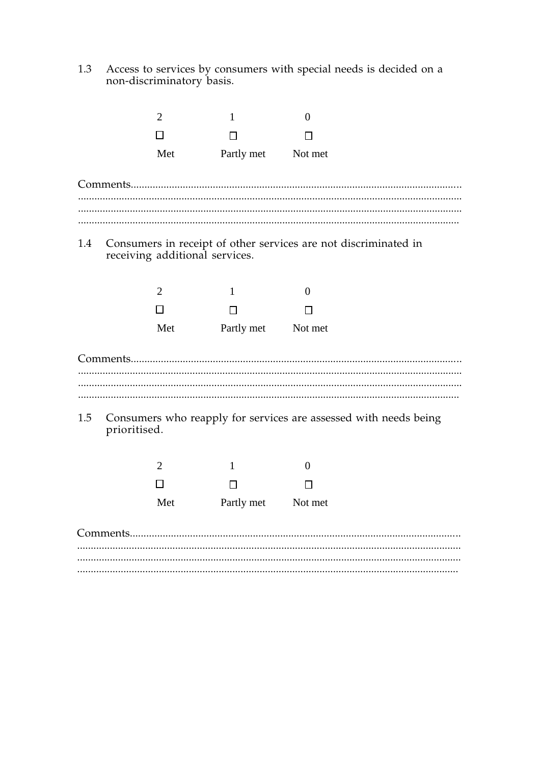Access to services by consumers with special needs is decided on a non-discriminatory basis. 1.3

|     | $\overline{2}$ |                                | 1          | $\overline{0}$                                                   |
|-----|----------------|--------------------------------|------------|------------------------------------------------------------------|
|     | П              |                                | $\Box$     | l 1                                                              |
|     |                | Met                            | Partly met | Not met                                                          |
|     |                |                                |            |                                                                  |
| 1.4 |                | receiving additional services. |            | Consumers in receipt of other services are not discriminated in  |
|     | $\overline{2}$ |                                | 1          | $\theta$                                                         |
|     | □              |                                | $\Box$     | П                                                                |
|     |                | Met                            | Partly met | Not met                                                          |
|     |                |                                |            |                                                                  |
| 1.5 | prioritised.   |                                |            | Consumers who reapply for services are assessed with needs being |
|     | $\overline{2}$ |                                | 1          | $\overline{0}$                                                   |
|     | □              |                                | □          | Ħ                                                                |
|     |                | Met                            | Partly met | Not met                                                          |
|     |                |                                |            |                                                                  |
|     |                |                                |            |                                                                  |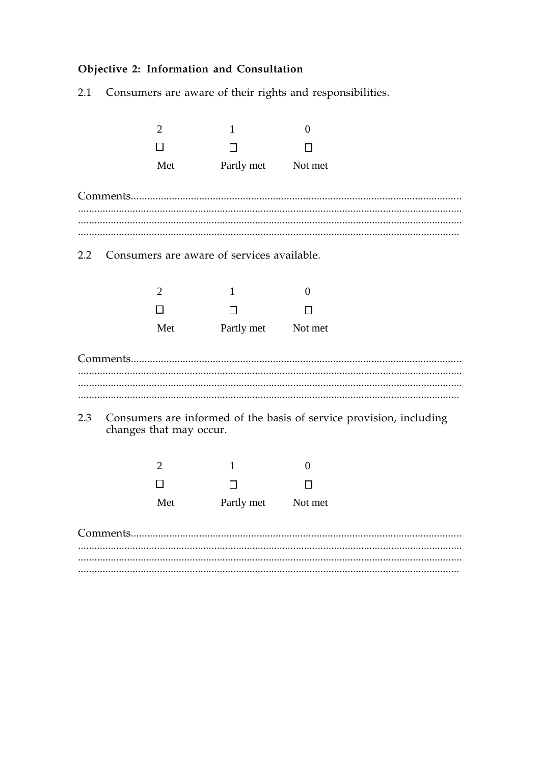# Objective 2: Information and Consultation

Consumers are aware of their rights and responsibilities.  $2.1$ 

|     | $\overline{2}$                                                                                 | 1                      | $\overline{0}$           |  |
|-----|------------------------------------------------------------------------------------------------|------------------------|--------------------------|--|
|     | П                                                                                              | □                      | П                        |  |
|     | Met                                                                                            | Partly met             | Not met                  |  |
|     |                                                                                                |                        |                          |  |
| 2.2 | Consumers are aware of services available.                                                     |                        |                          |  |
|     | $\overline{2}$<br>$\Box$                                                                       | $\mathbf{1}$<br>$\Box$ | $\overline{0}$<br>$\Box$ |  |
|     | Met                                                                                            | Partly met             | Not met                  |  |
|     |                                                                                                |                        |                          |  |
|     |                                                                                                |                        |                          |  |
| 2.3 | Consumers are informed of the basis of service provision, including<br>changes that may occur. |                        |                          |  |
|     | $\overline{2}$                                                                                 | $\mathbf{1}$           | $\mathbf{0}$             |  |
|     | $\Box$                                                                                         | $\Box$                 | □                        |  |
|     | Met                                                                                            | Partly met Not met     |                          |  |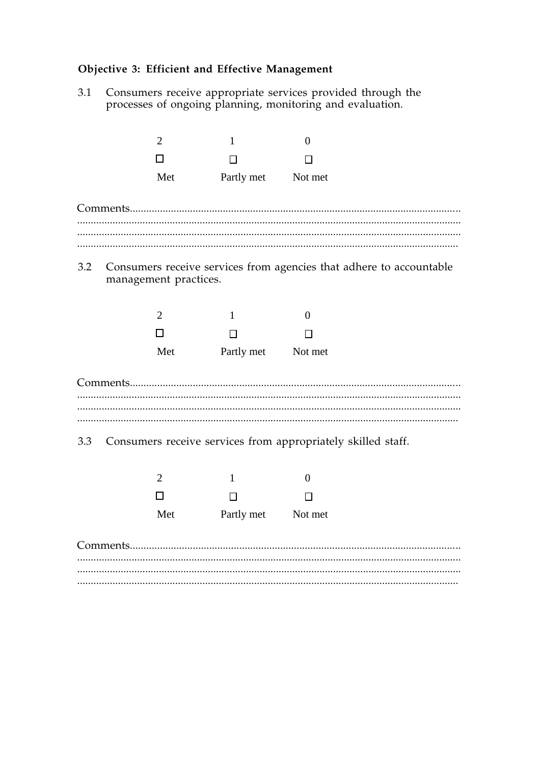#### Objective 3: Efficient and Effective Management

 $3.1$ Consumers receive appropriate services provided through the processes of ongoing planning, monitoring and evaluation.



 $3.2$ Consumers receive services from agencies that adhere to accountable management practices.

| $\mathcal{D}$ |            |         |
|---------------|------------|---------|
| $\Box$        | П          | П       |
| Met           | Partly met | Not met |

Consumers receive services from appropriately skilled staff. 3.3

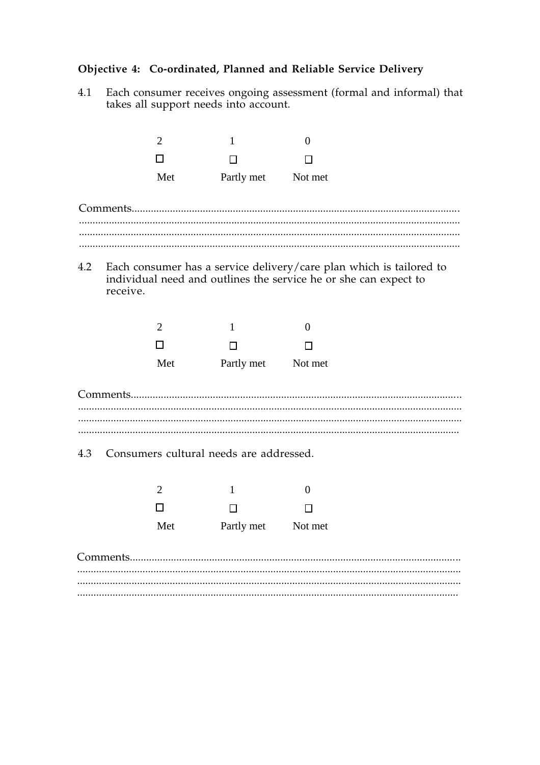## Objective 4: Co-ordinated, Planned and Reliable Service Delivery

Each consumer receives ongoing assessment (formal and informal) that 4.1 takes all support needs into account.

|     | $\overline{2}$ | 1                                                                | $\overline{0}$ |                                                                         |
|-----|----------------|------------------------------------------------------------------|----------------|-------------------------------------------------------------------------|
|     | П              | П                                                                | П              |                                                                         |
|     | Met            | Partly met                                                       | Not met        |                                                                         |
|     |                |                                                                  |                |                                                                         |
|     |                |                                                                  |                |                                                                         |
|     | receive.       | individual need and outlines the service he or she can expect to |                | 4.2 Each consumer has a service delivery/care plan which is tailored to |
|     | 2              | $\mathbf{1}$                                                     | $\overline{0}$ |                                                                         |
|     | П              | □                                                                | П              |                                                                         |
|     | Met            | Partly met Not met                                               |                |                                                                         |
|     |                |                                                                  |                |                                                                         |
|     |                |                                                                  |                |                                                                         |
| 4.3 |                | Consumers cultural needs are addressed.                          |                |                                                                         |
|     | $\overline{2}$ | 1                                                                | $\overline{0}$ |                                                                         |
|     | ΙI             | $\Box$                                                           | П              |                                                                         |
|     | Met            | Partly met                                                       | Not met        |                                                                         |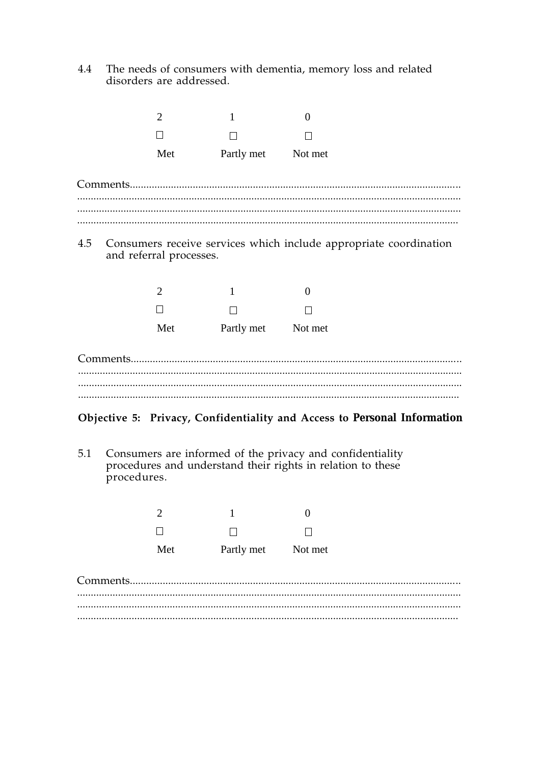The needs of consumers with dementia, memory loss and related disorders are addressed. 4.4

|          | $\mathcal{D}_{\mathcal{L}}$ |            | 0                                                                 |
|----------|-----------------------------|------------|-------------------------------------------------------------------|
|          |                             |            |                                                                   |
|          | Met                         | Partly met | Not met                                                           |
| 4.5      | and referral processes.     |            | Consumers receive services which include appropriate coordination |
|          | $\overline{2}$              | 1          | $\Omega$                                                          |
|          |                             |            |                                                                   |
|          | Met                         | Partly met | Not met                                                           |
| Comments |                             |            |                                                                   |
|          |                             |            |                                                                   |

## Objective 5: Privacy, Confidentiality and Access to Personal Information

Consumers are informed of the privacy and confidentiality<br>procedures and understand their rights in relation to these  $5.1$ procedures.

| Met | Partly met | Not met |
|-----|------------|---------|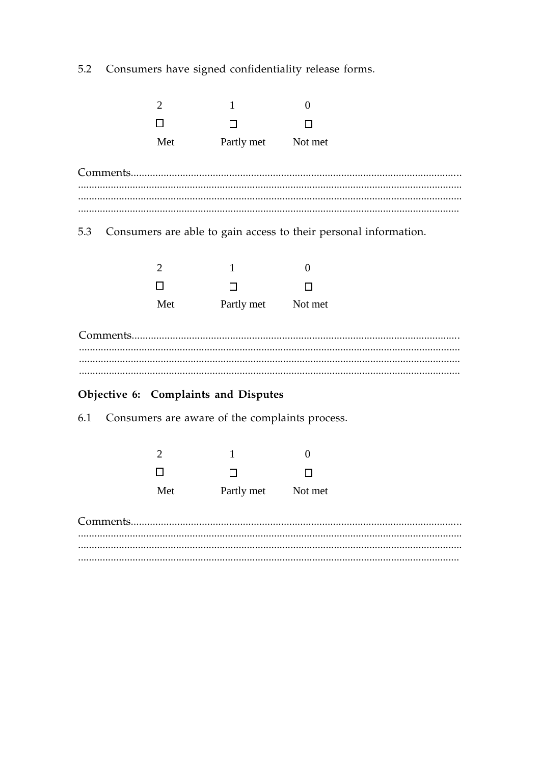Consumers have signed confidentiality release forms. 5.2



| $\overline{\phantom{a}}$ |            | 0       |
|--------------------------|------------|---------|
| $\Box$                   |            |         |
| Met                      | Partly met | Not met |

## Objective 6: Complaints and Disputes

Consumers are aware of the complaints process. 6.1

| $\mathcal{D}$ |            |         |
|---------------|------------|---------|
| $\Box$        | П          | П       |
| Met           | Partly met | Not met |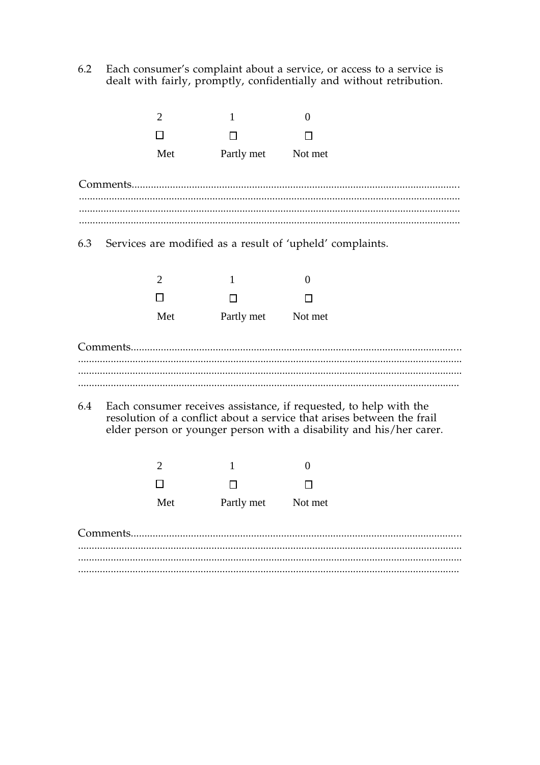Each consumer's complaint about a service, or access to a service is dealt with fairly, promptly, confidentially and without retribution.  $6.2$ 

|     | $\overline{2}$       |     | 1                  | 0                                                                                                                                                                                                                  |
|-----|----------------------|-----|--------------------|--------------------------------------------------------------------------------------------------------------------------------------------------------------------------------------------------------------------|
|     |                      |     |                    |                                                                                                                                                                                                                    |
|     |                      | Met | Partly met Not met |                                                                                                                                                                                                                    |
|     |                      |     |                    |                                                                                                                                                                                                                    |
| 6.3 |                      |     |                    | Services are modified as a result of 'upheld' complaints.                                                                                                                                                          |
|     | $\overline{2}$<br>ΙI |     | 1<br>□             | $\Omega$                                                                                                                                                                                                           |
|     |                      | Met | Partly met Not met |                                                                                                                                                                                                                    |
|     |                      |     |                    |                                                                                                                                                                                                                    |
| 6.4 |                      |     |                    | Each consumer receives assistance, if requested, to help with the<br>resolution of a conflict about a service that arises between the frail<br>elder person or younger person with a disability and his/her carer. |
|     | 2                    |     | 1                  | $\Omega$                                                                                                                                                                                                           |
|     |                      |     |                    |                                                                                                                                                                                                                    |
|     |                      | Met | Partly met         | Not met                                                                                                                                                                                                            |
|     |                      |     |                    |                                                                                                                                                                                                                    |